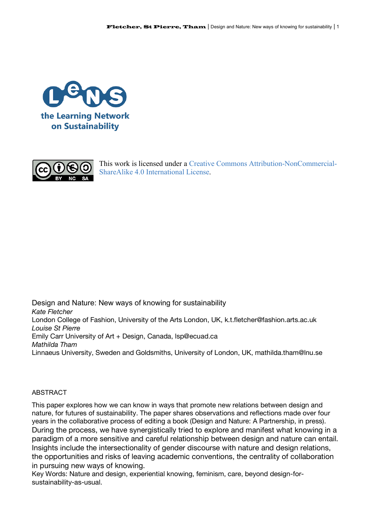



This work is licensed under a Creative Commons Attribution-NonCommercial-ShareAlike 4.0 International License.

Design and Nature: New ways of knowing for sustainability *Kate Fletcher* London College of Fashion, University of the Arts London, UK, k.t.fletcher@fashion.arts.ac.uk *Louise St Pierre* Emily Carr University of Art + Design, Canada, lsp@ecuad.ca *Mathilda Tham* Linnaeus University, Sweden and Goldsmiths, University of London, UK, mathilda.tham@lnu.se

## ABSTRACT

This paper explores how we can know in ways that promote new relations between design and nature, for futures of sustainability. The paper shares observations and reflections made over four years in the collaborative process of editing a book (Design and Nature: A Partnership, in press). During the process, we have synergistically tried to explore and manifest what knowing in a paradigm of a more sensitive and careful relationship between design and nature can entail. Insights include the intersectionality of gender discourse with nature and design relations, the opportunities and risks of leaving academic conventions, the centrality of collaboration in pursuing new ways of knowing.

Key Words: Nature and design, experiential knowing, feminism, care, beyond design-forsustainability-as-usual.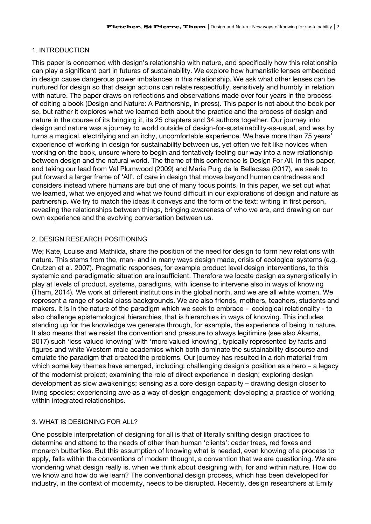# 1. INTRODUCTION

This paper is concerned with design's relationship with nature, and specifically how this relationship can play a significant part in futures of sustainability. We explore how humanistic lenses embedded in design cause dangerous power imbalances in this relationship. We ask what other lenses can be nurtured for design so that design actions can relate respectfully, sensitively and humbly in relation with nature. The paper draws on reflections and observations made over four years in the process of editing a book (Design and Nature: A Partnership, in press). This paper is not about the book per se, but rather it explores what we learned both about the practice and the process of design and nature in the course of its bringing it, its 25 chapters and 34 authors together. Our journey into design and nature was a journey to world outside of design-for-sustainability-as-usual, and was by turns a magical, electrifying and an itchy, uncomfortable experience. We have more than 75 years' experience of working in design for sustainability between us, yet often we felt like novices when working on the book, unsure where to begin and tentatively feeling our way into a new relationship between design and the natural world. The theme of this conference is Design For All. In this paper, and taking our lead from Val Plumwood (2009) and Maria Puig de la Bellacasa (2017), we seek to put forward a larger frame of 'All', of care in design that moves beyond human centredness and considers instead where humans are but one of many focus points. In this paper, we set out what we learned, what we enjoyed and what we found difficult in our explorations of design and nature as partnership. We try to match the ideas it conveys and the form of the text: writing in first person, revealing the relationships between things, bringing awareness of who we are, and drawing on our own experience and the evolving conversation between us.

# 2. DESIGN RESEARCH POSITIONING

We; Kate, Louise and Mathilda, share the position of the need for design to form new relations with nature. This stems from the, man- and in many ways design made, crisis of ecological systems (e.g. Crutzen et al. 2007). Pragmatic responses, for example product level design interventions, to this systemic and paradigmatic situation are insufficient. Therefore we locate design as synergistically in play at levels of product, systems, paradigms, with license to intervene also in ways of knowing (Tham, 2014). We work at different institutions in the global north, and we are all white women. We represent a range of social class backgrounds. We are also friends, mothers, teachers, students and makers. It is in the nature of the paradigm which we seek to embrace - ecological relationality - to also challenge epistemological hierarchies, that is hierarchies in ways of knowing. This includes standing up for the knowledge we generate through, for example, the experience of being in nature. It also means that we resist the convention and pressure to always legitimize (see also Akama, 2017) such 'less valued knowing' with 'more valued knowing', typically represented by facts and figures and white Western male academics which both dominate the sustainability discourse and emulate the paradigm that created the problems. Our journey has resulted in a rich material from which some key themes have emerged, including: challenging design's position as a hero – a legacy of the modernist project; examining the role of direct experience in design; exploring design development as slow awakenings; sensing as a core design capacity – drawing design closer to living species; experiencing awe as a way of design engagement; developing a practice of working within integrated relationships.

# 3. WHAT IS DESIGNING FOR ALL?

One possible interpretation of designing for all is that of literally shifting design practices to determine and attend to the needs of other than human 'clients': cedar trees, red foxes and monarch butterflies. But this assumption of knowing what is needed, even knowing of a process to apply, falls within the conventions of modern thought, a convention that we are questioning. We are wondering what design really is, when we think about designing with, for and within nature. How do we know and how do we learn? The conventional design process, which has been developed for industry, in the context of modernity, needs to be disrupted. Recently, design researchers at Emily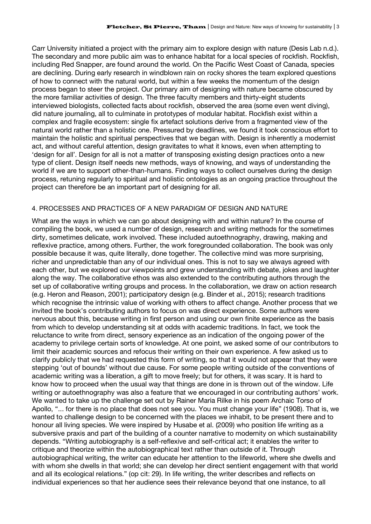Carr University initiated a project with the primary aim to explore design with nature (Desis Lab n.d.). The secondary and more public aim was to enhance habitat for a local species of rockfish. Rockfish, including Red Snapper, are found around the world. On the Pacific West Coast of Canada, species are declining. During early research in windblown rain on rocky shores the team explored questions of how to connect with the natural world, but within a few weeks the momentum of the design process began to steer the project. Our primary aim of designing with nature became obscured by the more familiar activities of design. The three faculty members and thirty-eight students interviewed biologists, collected facts about rockfish, observed the area (some even went diving), did nature journaling, all to culminate in prototypes of modular habitat. Rockfish exist within a complex and fragile ecosystem: single fix artefact solutions derive from a fragmented view of the natural world rather than a holistic one. Pressured by deadlines, we found it took conscious effort to maintain the holistic and spiritual perspectives that we began with. Design is inherently a modernist act, and without careful attention, design gravitates to what it knows, even when attempting to 'design for all'. Design for all is not a matter of transposing existing design practices onto a new type of client. Design itself needs new methods, ways of knowing, and ways of understanding the world if we are to support other-than-humans. Finding ways to collect ourselves during the design process, retuning regularly to spiritual and holistic ontologies as an ongoing practice throughout the project can therefore be an important part of designing for all.

# 4. PROCESSES AND PRACTICES OF A NEW PARADIGM OF DESIGN AND NATURE

What are the ways in which we can go about designing with and within nature? In the course of compiling the book, we used a number of design, research and writing methods for the sometimes dirty, sometimes delicate, work involved. These included autoethnography, drawing, making and reflexive practice, among others. Further, the work foregrounded collaboration. The book was only possible because it was, quite literally, done together. The collective mind was more surprising, richer and unpredictable than any of our individual ones. This is not to say we always agreed with each other, but we explored our viewpoints and grew understanding with debate, jokes and laughter along the way. The collaborative ethos was also extended to the contributing authors through the set up of collaborative writing groups and process. In the collaboration, we draw on action research (e.g. Heron and Reason, 2001); participatory design (e.g. Binder et al., 2015); research traditions which recognise the intrinsic value of working with others to affect change. Another process that we invited the book's contributing authors to focus on was direct experience. Some authors were nervous about this, because writing in first person and using our own finite experience as the basis from which to develop understanding sit at odds with academic traditions. In fact, we took the reluctance to write from direct, sensory experience as an indication of the ongoing power of the academy to privilege certain sorts of knowledge. At one point, we asked some of our contributors to limit their academic sources and refocus their writing on their own experience. A few asked us to clarify publicly that we had requested this form of writing, so that it would not appear that they were stepping 'out of bounds' without due cause. For some people writing outside of the conventions of academic writing was a liberation, a gift to move freely; but for others, it was scary. It is hard to know how to proceed when the usual way that things are done in is thrown out of the window. Life writing or autoethnography was also a feature that we encouraged in our contributing authors' work. We wanted to take up the challenge set out by Rainer Maria Rilke in his poem Archaic Torso of Apollo, "... for there is no place that does not see you. You must change your life" (1908). That is, we wanted to challenge design to be concerned with the places we inhabit, to be present there and to honour all living species. We were inspired by Husabe et al. (2009) who position life writing as a subversive praxis and part of the building of a counter narrative to modernity on which sustainability depends. "Writing autobiography is a self-reflexive and self-critical act; it enables the writer to critique and theorize within the autobiographical text rather than outside of it. Through autobiographical writing, the writer can educate her attention to the lifeworld, where she dwells and with whom she dwells in that world; she can develop her direct sentient engagement with that world and all its ecological relations." (op cit: 29). In life writing, the writer describes and reflects on individual experiences so that her audience sees their relevance beyond that one instance, to all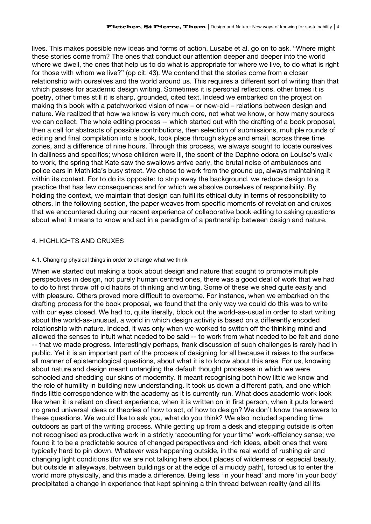lives. This makes possible new ideas and forms of action. Lusabe et al. go on to ask, "Where might these stories come from? The ones that conduct our attention deeper and deeper into the world where we dwell, the ones that help us to do what is appropriate for where we live, to do what is right for those with whom we live?" (op cit: 43). We contend that the stories come from a closer relationship with ourselves and the world around us. This requires a different sort of writing than that which passes for academic design writing. Sometimes it is personal reflections, other times it is poetry, other times still it is sharp, grounded, cited text. Indeed we embarked on the project on making this book with a patchworked vision of new – or new-old – relations between design and nature. We realized that how we know is very much core, not what we know, or how many sources we can collect. The whole editing process -- which started out with the drafting of a book proposal, then a call for abstracts of possible contributions, then selection of submissions, multiple rounds of editing and final compilation into a book, took place through skype and email, across three time zones, and a difference of nine hours. Through this process, we always sought to locate ourselves in dailiness and specifics; whose children were ill, the scent of the Daphne odora on Louise's walk to work, the spring that Kate saw the swallows arrive early, the brutal noise of ambulances and police cars in Mathilda's busy street. We chose to work from the ground up, always maintaining it within its context. For to do its opposite: to strip away the background, we reduce design to a practice that has few consequences and for which we absolve ourselves of responsibility. By holding the context, we maintain that design can fulfil its ethical duty in terms of responsibility to others. In the following section, the paper weaves from specific moments of revelation and cruxes that we encountered during our recent experience of collaborative book editing to asking questions about what it means to know and act in a paradigm of a partnership between design and nature.

# 4. HIGHLIGHTS AND CRUXES

### 4.1. Changing physical things in order to change what we think

When we started out making a book about design and nature that sought to promote multiple perspectives in design, not purely human centred ones, there was a good deal of work that we had to do to first throw off old habits of thinking and writing. Some of these we shed quite easily and with pleasure. Others proved more difficult to overcome. For instance, when we embarked on the drafting process for the book proposal, we found that the only way we could do this was to write with our eyes closed. We had to, quite literally, block out the world-as-usual in order to start writing about the world-as-unusual, a world in which design activity is based on a differently encoded relationship with nature. Indeed, it was only when we worked to switch off the thinking mind and allowed the senses to intuit what needed to be said -- to work from what needed to be felt and done -- that we made progress. Interestingly perhaps, frank discussion of such challenges is rarely had in public. Yet it is an important part of the process of designing for all because it raises to the surface all manner of epistemological questions, about what it is to know about this area. For us, knowing about nature and design meant untangling the default thought processes in which we were schooled and shedding our skins of modernity. It meant recognising both how little we know and the role of humility in building new understanding. It took us down a different path, and one which finds little correspondence with the academy as it is currently run. What does academic work look like when it is reliant on direct experience, when it is written on in first person, when it puts forward no grand universal ideas or theories of how to act, of how to design? We don't know the answers to these questions. We would like to ask you, what do you think? We also included spending time outdoors as part of the writing process. While getting up from a desk and stepping outside is often not recognised as productive work in a strictly 'accounting for your time' work-efficiency sense; we found it to be a predictable source of changed perspectives and rich ideas, albeit ones that were typically hard to pin down. Whatever was happening outside, in the real world of rushing air and changing light conditions (for we are not talking here about places of wilderness or especial beauty, but outside in alleyways, between buildings or at the edge of a muddy path), forced us to enter the world more physically, and this made a difference. Being less 'in your head' and more 'in your body' precipitated a change in experience that kept spinning a thin thread between reality (and all its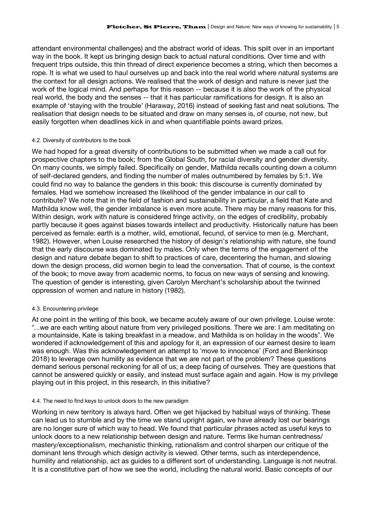attendant environmental challenges) and the abstract world of ideas. This spilt over in an important way in the book. It kept us bringing design back to actual natural conditions. Over time and with frequent trips outside, this thin thread of direct experience becomes a string, which then becomes a rope. It is what we used to haul ourselves up and back into the real world where natural systems are the context for all design actions. We realised that the work of design and nature is never just the work of the logical mind. And perhaps for this reason -- because it is also the work of the physical real world, the body and the senses -- that it has particular ramifications for design. It is also an example of 'staying with the trouble' (Haraway, 2016) instead of seeking fast and neat solutions. The realisation that design needs to be situated and draw on many senses is, of course, not new, but easily forgotten when deadlines kick in and when quantifiable points award prizes.

#### 4.2. Diversity of contributors to the book

We had hoped for a great diversity of contributions to be submitted when we made a call out for prospective chapters to the book; from the Global South, for racial diversity and gender diversity. On many counts, we simply failed. Specifically on gender, Mathilda recalls counting down a column of self-declared genders, and finding the number of males outnumbered by females by 5:1. We could find no way to balance the genders in this book: this discourse is currently dominated by females. Had we somehow increased the likelihood of the gender imbalance in our call to contribute? We note that in the field of fashion and sustainability in particular, a field that Kate and Mathilda know well, the gender imbalance is even more acute. There may be many reasons for this. Within design, work with nature is considered fringe activity, on the edges of credibility, probably partly because it goes against biases towards intellect and productivity. Historically nature has been perceived as female: earth is a mother, wild, emotional, fecund, of service to men (e.g. Merchant, 1982). However, when Louise researched the history of design's relationship with nature, she found that the early discourse was dominated by males. Only when the terms of the engagement of the design and nature debate began to shift to practices of care, decentering the human, and slowing down the design process, did women begin to lead the conversation. That of course, is the context of the book; to move away from academic norms, to focus on new ways of sensing and knowing. The question of gender is interesting, given Carolyn Merchant's scholarship about the twinned oppression of women and nature in history (1982).

#### 4.3. Encountering privilege

At one point in the writing of this book, we became acutely aware of our own privilege. Louise wrote: "...we are each writing about nature from very privileged positions. There we are: I am meditating on a mountainside, Kate is taking breakfast in a meadow, and Mathilda is on holiday in the woods". We wondered if acknowledgement of this and apology for it, an expression of our earnest desire to learn was enough. Was this acknowledgement an attempt to 'move to innocence' (Ford and Blenkinsop 2018) to leverage own humility as evidence that we are not part of the problem? These questions demand serious personal reckoning for all of us; a deep facing of ourselves. They are questions that cannot be answered quickly or easily, and instead must surface again and again. How is my privilege playing out in this project, in this research, in this initiative?

#### 4.4. The need to find keys to unlock doors to the new paradigm

Working in new territory is always hard. Often we get hijacked by habitual ways of thinking. These can lead us to stumble and by the time we stand upright again, we have already lost our bearings are no longer sure of which way to head. We found that particular phrases acted as useful keys to unlock doors to a new relationship between design and nature. Terms like human centredness/ mastery/exceptionalism, mechanistic thinking, rationalism and control sharpen our critique of the dominant lens through which design activity is viewed. Other terms, such as interdependence, humility and relationship, act as guides to a different sort of understanding. Language is not neutral. It is a constitutive part of how we see the world, including the natural world. Basic concepts of our